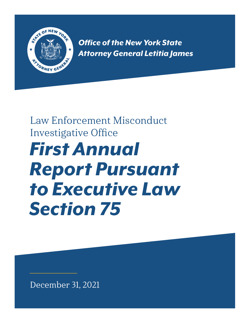

*Office of the New York State Attorney General Letitia James*

# *First Annual Report Pursuant to Executive Law Section 75*  Law Enforcement Misconduct Investigative Office

December 31, 2021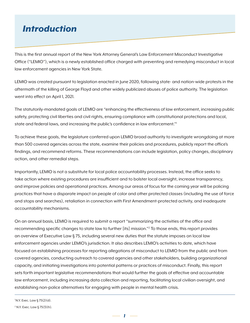# *Introduction*

This is the first annual report of the New York Attorney General's Law Enforcement Misconduct Investigative Office ("LEMIO"), which is a newly established office charged with preventing and remedying misconduct in local law enforcement agencies in New York State.

LEMIO was created pursuant to legislation enacted in June 2020, following state- and nation-wide protests in the aftermath of the killing of George Floyd and other widely publicized abuses of police authority. The legislation went into effect on April 1, 2021.

The statutorily-mandated goals of LEMIO are "enhancing the effectiveness of law enforcement, increasing public safety, protecting civil liberties and civil rights, ensuring compliance with constitutional protections and local, state and federal laws, and increasing the public's confidence in law enforcement."

To achieve these goals, the legislature conferred upon LEMIO broad authority to investigate wrongdoing at more than 500 covered agencies across the state, examine their policies and procedures, publicly report the office's findings, and recommend reforms. These recommendations can include legislation, policy changes, disciplinary action, and other remedial steps.

Importantly, LEMIO is not a substitute for local police accountability processes. Instead, the office seeks to take action where existing procedures are insufficient and to bolster local oversight, increase transparency, and improve policies and operational practices. Among our areas of focus for the coming year will be policing practices that have a disparate impact on people of color and other protected classes (including the use of force and stops and searches), retaliation in connection with First Amendment-protected activity, and inadequate accountability mechanisms.

On an annual basis, LEMIO is required to submit a report "summarizing the activities of the office and recommending specific changes to state law to further [its] mission."2 To those ends, this report provides an overview of Executive Law § 75, including several new duties that the statute imposes on local law enforcement agencies under LEMIO's jurisdiction. It also describes LEMIO's activities to date, which have focused on establishing processes for reporting allegations of misconduct to LEMIO from the public and from covered agencies, conducting outreach to covered agencies and other stakeholders, building organizational capacity, and initiating investigations into potential patterns or practices of misconduct. Finally, this report sets forth important legislative recommendations that would further the goals of effective and accountable law enforcement, including increasing data collection and reporting, facilitating local civilian oversight, and establishing non-police alternatives for engaging with people in mental health crisis.

 $1 N.Y.$  Exec. Law  $\S 75(2)(d)$ .

<sup>2</sup> N.Y. Exec. Law § 75(3)(h).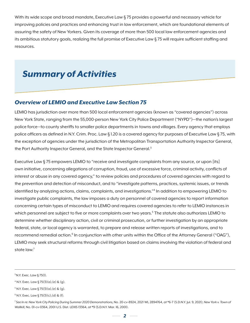With its wide scope and broad mandate, Executive Law § 75 provides a powerful and necessary vehicle for improving policies and practices and enhancing trust in law enforcement, which are foundational elements of assuring the safety of New Yorkers. Given its coverage of more than 500 local law enforcement agencies and its ambitious statutory goals, realizing the full promise of Executive Law § 75 will require sufficient staffing and resources.

### *Summary of Activities*

#### *Overview of LEMIO and Executive Law Section 75*

LEMIO has jurisdiction over more than 500 local enforcement agencies (known as "covered agencies") across New York State, ranging from the 55,000-person New York City Police Department ("NYPD")—the nation's largest police force—to county sheriffs to smaller police departments in towns and villages. Every agency that employs police officers as defined in N.Y. Crim. Proc. Law § 1.20 is a covered agency for purposes of Executive Law § 75, with the exception of agencies under the jurisdiction of the Metropolitan Transportation Authority Inspector General, the Port Authority Inspector General, and the State Inspector General.<sup>3</sup>

Executive Law § 75 empowers LEMIO to "receive and investigate complaints from any source, or upon [its] own initiative, concerning allegations of corruption, fraud, use of excessive force, criminal activity, conflicts of interest or abuse in any covered agency," to review policies and procedures of covered agencies with regard to the prevention and detection of misconduct, and to "investigate patterns, practices, systemic issues, or trends identified by analyzing actions, claims, complaints, and investigations."4 In addition to empowering LEMIO to investigate public complaints, the law imposes a duty on personnel of covered agencies to report information concerning certain types of misconduct to LEMIO and requires covered agencies to refer to LEMIO instances in which personnel are subject to five or more complaints over two years.<sup>5</sup> The statute also authorizes LEMIO to determine whether disciplinary action, civil or criminal prosecution, or further investigation by an appropriate federal, state, or local agency is warranted, to prepare and release written reports of investigations, and to recommend remedial action.<sup>6</sup> In conjunction with other units within the Office of the Attorney General ("OAG"), LEMIO may seek structural reforms through civil litigation based on claims involving the violation of federal and state law.<sup>7</sup>

 $3$  N.Y. Exec. Law § 75(1).

<sup>4</sup> N.Y. Exec. Law § 75(3)(a),(e) & (g).

<sup>5</sup> N.Y. Exec. Law § 75(3)(a),(e) & (g).

 $6$  N.Y. Exec. Law § 75(3)(c),(d) & (f).

<sup>&</sup>lt;sup>7</sup> See In re: New York City Policing During Summer 2020 Demonstrations, No. 20-cv-8924, 2021 WL 2894764, at \*6-7 (S.D.N.Y. Jul. 9, 2021); New York v. Town of *Wallkill,* No. 01-cv-0364, 2001 U.S. Dist. LEXIS 13364, at \*9 (S.D.N.Y. Mar. 16, 2001).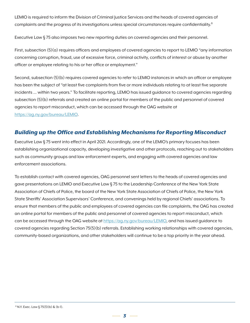LEMIO is required to inform the Division of Criminal Justice Services and the heads of covered agencies of complaints and the progress of its investigations unless special circumstances require confidentiality.<sup>8</sup>

Executive Law § 75 also imposes two new reporting duties on covered agencies and their personnel.

First, subsection  $(5)(a)$  requires officers and employees of covered agencies to report to LEMIO "any information concerning corruption, fraud, use of excessive force, criminal activity, conflicts of interest or abuse by another officer or employee relating to his or her office or employment."

Second, subsection (5)(b) requires covered agencies to refer to LEMIO instances in which an officer or employee has been the subject of "at least five complaints from five or more individuals relating to at least five separate incidents … within two years." To facilitate reporting, LEMIO has issued guidance to covered agencies regarding subsection (5)(b) referrals and created an online portal for members of the public and personnel of covered agencies to report misconduct, which can be accessed through the OAG website at https://ag.ny.gov/bureau/LEMIO.

### *Building up the Office and Establishing Mechanisms for Reporting Misconduct*

Executive Law § 75 went into effect in April 2021. Accordingly, one of the LEMIO's primary focuses has been establishing organizational capacity, developing investigative and other protocols, reaching out to stakeholders such as community groups and law enforcement experts, and engaging with covered agencies and law enforcement associations.

To establish contact with covered agencies, OAG personnel sent letters to the heads of covered agencies and gave presentations on LEMIO and Executive Law § 75 to the Leadership Conference of the New York State Association of Chiefs of Police, the board of the New York State Association of Chiefs of Police, the New York State Sheriffs' Association Supervisors' Conference, and convenings held by regional Chiefs' associations. To ensure that members of the public and employees of covered agencies can file complaints, the OAG has created an online portal for members of the public and personnel of covered agencies to report misconduct, which can be accessed through the OAG website at https://ag.ny.gov/bureau/LEMIO, and has issued guidance to covered agencies regarding Section 75(5)(b) referrals. Establishing working relationships with covered agencies, community-based organizations, and other stakeholders will continue to be a top priority in the year ahead.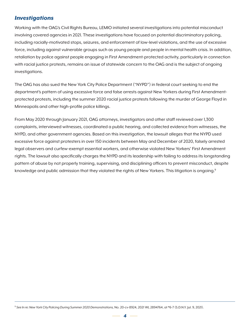### *Investigations*

Working with the OAG's Civil Rights Bureau, LEMIO initiated several investigations into potential misconduct involving covered agencies in 2021. These investigations have focused on potential discriminatory policing, including racially-motivated stops, seizures, and enforcement of low-level violations, and the use of excessive force, including against vulnerable groups such as young people and people in mental health crisis. In addition, retaliation by police against people engaging in First Amendment-protected activity, particularly in connection with racial justice protests, remains an issue of statewide concern to the OAG and is the subject of ongoing investigations.

The OAG has also sued the New York City Police Department ("NYPD") in federal court seeking to end the department's pattern of using excessive force and false arrests against New Yorkers during First Amendmentprotected protests, including the summer 2020 racial justice protests following the murder of George Floyd in Minneapolis and other high-profile police killings.

From May 2020 through January 2021, OAG attorneys, investigators and other staff reviewed over 1,300 complaints, interviewed witnesses, coordinated a public hearing, and collected evidence from witnesses, the NYPD, and other government agencies. Based on this investigation, the lawsuit alleges that the NYPD used excessive force against protesters in over 150 incidents between May and December of 2020, falsely arrested legal observers and curfew-exempt essential workers, and otherwise violated New Yorkers' First Amendment rights. The lawsuit also specifically charges the NYPD and its leadership with failing to address its longstanding pattern of abuse by not properly training, supervising, and disciplining officers to prevent misconduct, despite knowledge and public admission that they violated the rights of New Yorkers. This litigation is ongoing.<sup>9</sup>

<sup>9</sup> *See In re: New York City Policing During Summer 2020 Demonstrations,* No. 20-cv-8924, 2021 WL 2894764, at \*6-7 (S.D.N.Y. Jul. 9, 2021).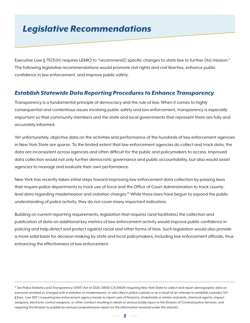# *Legislative Recommendations*

Executive Law § 75(3)(h) requires LEMIO to "recommend[] specific changes to state law to further [its] mission." The following legislative recommendations would promote civil rights and civil liberties, enhance public confidence in law enforcement, and improve public safety.

#### *Establish Statewide Data Reporting Procedures to Enhance Transparency*

Transparency is a fundamental principle of democracy and the rule of law. When it comes to highly consequential and contentious issues involving public safety and law enforcement, transparency is especially important so that community members and the state and local governments that represent them are fully and accurately informed.

Yet unfortunately, objective data on the activities and performance of the hundreds of law enforcement agencies in New York State are sparse. To the limited extent that law enforcement agencies do collect and track data, the data are inconsistent across agencies and often difficult for the public and policymakers to access. Improved data collection would not only further democratic governance and public accountability, but also would assist agencies to manage and evaluate their own performance.

New York has recently taken initial steps toward improving law enforcement data collection by passing laws that require police departments to track use of force and the Office of Court Administration to track countylevel data regarding misdemeanor and violation charges.<sup>10</sup> While these laws have begun to expand the public understanding of police activity, they do not cover many important indicators.

Building on current reporting requirements, legislation that requires (and facilitates) the collection and publication of data on additional key metrics of law enforcement activity would improve public confidence in policing and help detect and protect against racial and other forms of bias. Such legislation would also provide a more solid basis for decision-making by state and local policymakers, including law enforcement officials, thus enhancing the effectiveness of law enforcement.

<sup>&</sup>lt;sup>10</sup> See Police Statistics and Transparency (STAT) Act of 2020, S1830-C/A.10609 (requiring New York State to collect and report demographic data on everyone arrested or charged with a violation or misdemeanor, or who dies in police custody or as a result of an attempt to establish custody); N.Y. § Exec. Law 837-t (requiring law enforcement agency heads to report uses of firearms, chokeholds or similar restraints, chemical agents, impact weapons, electronic control weapons, or other conduct resulting in death or serious bodily injury to the Division of Criminal Justice Services, and requiring the Division to publish an annual comprehensive report on the information received under the statute).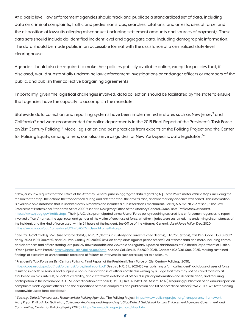At a basic level, law enforcement agencies should track and publicize a standardized set of data, including data on criminal complaints; traffic and pedestrian stops, searches, citations, and arrests; uses of force; and the disposition of lawsuits alleging misconduct (including settlement amounts and sources of payment). These data sets should include de-identified incident level and aggregate data, including demographic information. The data should be made public in an accessible format with the assistance of a centralized state-level clearinghouse.

Agencies should also be required to make their policies publicly available online, except for policies that, if disclosed, would substantially undermine law enforcement investigations or endanger officers or members of the public, and publish their collective bargaining agreements.

Importantly, given the logistical challenges involved, data collection should be facilitated by the state to ensure that agencies have the capacity to accomplish the mandate.

Statewide data collection and reporting systems have been implemented in states such as New Jersey<sup>11</sup> and California<sup>12</sup> and were recommended for police departments in the 2015 Final Report of the President's Task Force on 21st Century Policing.<sup>13</sup> Model legislation and best practices from experts at the Policing Project and the Center for Policing Equity, among others, can also serve as guides for New York-specific data legislation.<sup>14</sup>

<sup>11</sup> New Jersey law requires that the Office of the Attorney General publish aggregate data regarding N.J. State Police motor vehicle stops, including the reason for the stop, the actions the trooper took during and after the stop, the driver's race, and whether any evidence was seized. This information is available on a database that is updated every 6 months and includes a public feedback mechanism. See N.J.S.A. 52:17B-222 et.seq., "The Law Enforcement Professional Standards Act of 2009"; *see also* New Jersey Office of the Attorney General, *State Police Traffic Stop Dashboard*, https://www.njoag.gov/trafficstops. The N.J. A.G. also promulgated a new Use of Force policy requiring covered law enforcement agencies to report involved officers' names, the age, race, and gender of the victim of each use of force, whether injuries were sustained, the underlying circumstances of the incident, and the kind of force used, within 24 hours of the incident. *See* Office of the Attorney General, *Use of Force Policy*, Dec. 2020, https://www.nj.gov/oag/force/docs/UOF-2020-1221-Use-of-Force-Policy.pdf.

<sup>12</sup> See Cal. Gov't Code § 12525 (use of force data), § 12525.2 (deaths in custody and arrest-related deaths), § 12525.5 (stops), Cal. Pen. Code § 13010-13012 and § 13020-13021 (arrests), and Cal. Pen. Code § 13012(a)(5) (civilian complaints against peace officers). All of these data and more, including crimes and clearances and officer staffing, are publicly downloadable and viewable on regularly-updated dashboards at California Department of Justice, "Open Justice Data Portal," https://openjustice.doj.ca.gov/data. *See also* Cal. Sen. B. 16 (2020-2021), Chapter 402 (Cal. Stat. 2021), making sustained findings of excessive or unreasonable force and of failures to intervene in such force subject to disclosure.

<sup>13</sup> President's Task Force on 21st Century Policing, Final Report of the President's Task Force on 21st Century Policing, (2015),

https://cops.usdoj.gov/pdf/taskforce/taskforce\_finalreport.pdf. *See also* N.C. S.L. 2021-138 (establishing a "critical incident" database of uses of force resulting in death or serious bodily injury, a non-public database of officers notified in writing by a judge that they may not be called to testify at trial based on bias, interest, or lack of credibility, and a statewide database of officer disciplinary information and decertification, and requiring participation in the nationwide IADLEST decertification database); Del. H.J. Res. 4, 151st Gen. Assem. (2021) (requiring publication of an annual report on complaints made against officers and the dispositions of those complaints and publication of a list of decertified officers); WA 2021 c 326 (establishing a statewide use of force database).

<sup>14</sup> *See, e.g., Data & Transparency Framework for Policing Agencies,* The Policing Project, https://www.policingproject.org/transparency-framework; Mary Pryor, Phillip Atiba Goff et al., *Collecting, Analyzing, and Responding to Stop Data: A Guidebook for Law Enforcement Agencies, Government, and Communities,* Center for Policing Equity (2020), https://www.policingproject.org/stopdata.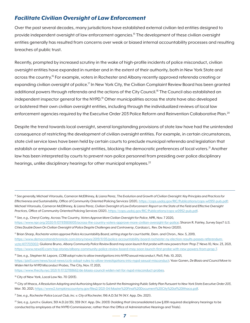#### *Facilitate Civilian Oversight of Law Enforcement*

Over the past several decades, many jurisdictions have established external civilian-led entities designed to provide independent oversight of law enforcement agencies.15 The development of these civilian oversight entities generally has resulted from concerns over weak or biased internal accountability processes and resulting breaches of public trust.

Recently, prompted by increased scrutiny in the wake of high-profile incidents of police misconduct, civilian oversight entities have expanded in number and in the extent of their authority, both in New York State and across the country.<sup>16</sup> For example, voters in Rochester and Albany recently approved referenda creating or expanding civilian oversight of police.<sup>17</sup> In New York City, the Civilian Complaint Review Board has been granted additional powers through referenda and the actions of the City Council.<sup>18</sup> The Council also established an independent inspector general for the NYPD.<sup>19</sup> Other municipalities across the state have also developed or bolstered their own civilian oversight entities, including through the individualized reviews of local law enforcement agencies required by the Executive Order 203 Police Reform and Reinvention Collaborative Plan.<sup>20</sup>

Despite the trend towards local oversight, several longstanding provisions of state law have had the unintended consequence of restricting the development of civilian oversight entities. For example, in certain circumstances, state civil service laws have been held by certain courts to preclude municipal referenda and legislation that establish or empower civilian oversight entities, blocking the democratic preferences of local voters.<sup>21</sup> Another law has been interpreted by courts to prevent non-police personnel from presiding over police disciplinary hearings, unlike disciplinary hearings for other municipal employees.<sup>22</sup>

<sup>15</sup> See generally, Michael Vitoroulis, Cameron McEllhiney, & Liana Perez, The Evolution and Growth of Civilian Oversight: Key Principles and Practices for *Effectiveness and Sustainability*, Office of Community Oriented Policing Services (2021), https://cops.usdoj.gov/RIC/Publications/cops-w0951-pub.pdf; Michael Vitoroulis, Cameron McEllhiney, & Liana Perez, *Civilian Oversight of Law Enforcement: Report on the State of the Field and Effective Oversight Practices,* Office of Community Oriented Policing Services (2021), https://cops.usdoj.gov/RIC/Publications/cops-w0952-pub.pdf.

<sup>16</sup> *See, e.g.,* Cheryl Corley, Across The Country, *Voters Approve More Civilian Oversight for Police*, NPR, Nov. 7 2020, https://www.npr.org/2020/11/07/931806105/across-the-country-voters-approve-more-civilian-oversight-for-police; Sharon R. Fairley, *Survey Says?: U.S. Cities Double Down On Civilian Oversight of Police Despite Challenges and Controversy*, Cardozo L. Rev. De Novo (2020).

17 Brian Sharp, *Rochester voters approve Police Accountability Board, setting stage for court battle*, Dem. and Chron., Nov. 5, 2019, [https://www.democratandchronicle.com/story/news/2019/11/05/police-accountability-board-rochester-ny-election-results-passes-referendum](https://www.democratandchronicle.com/story/news/2019/11/05/police-accountability-board-rochester-ny-election-results-passes-referendum-vote/4171703002/)[vote/4171703002; G](https://www.democratandchronicle.com/story/news/2019/11/05/police-accountability-board-rochester-ny-election-results-passes-referendum-vote/4171703002/)iuliana Bruno, *Albany Community Police Review Board may soon launch first probe with new powers from 'Prop 7,'* News 10, Nov. 23, 2021, https://www.news10.com/top-stories/albany-community-police-review-board-may-soon-launch-first-probe-with-new-powers-from-prop-7.

<sup>18</sup> *See, e.g.,* Stephen M. Lepore, *CCRB adopt rules to allow investigations into NYPD sexual misconduct*, Pix11, Feb. 10, 2021, https://pix11.com/news/local-news/ccrb-adopt-rules-to-allow-investigations-into-nypd-sexual-misconduct; Yoav Gonen, *De Blasio and Council Move to Widen Net for NYPD Misconduct Probes*, The City, Nov. 17, 2021,

https://www.thecity.nyc/2021/11/17/22788662/de-blasio-council-widen-net-for-nypd-misconduct-probes.

<sup>19</sup> City of New York, Local Law No. 70 (2013).

<sup>21</sup> See, e.g., Rochester Police Locust Club, Inc. v. City of Rochester, 196 A.D.3d 74 (N.Y. App. Div. 2021).

<sup>22</sup> *See, e.g., Lynch v. Giuliani,* 301 A.D.2d 351, 359 (N.Y. App. Div. 2003) (holding that Unconsolidated Law § 891 required disciplinary hearings to be conducted by employees of the NYPD Commissioner, rather than the Office of Administrative Hearings and Trials).

<sup>&</sup>lt;sup>20</sup> City of Ithaca, A Resolution Adopting and Authorizing Mayor to Submit the Reimagining Public Safety Plan Pursuant to New York State Executive Order 203, Mar. 30, 2021, https://www2.tompkinscountyny.gov/files2/2021-04/Master%20Final%20Document%20City%20of%20Ithaca.pdf.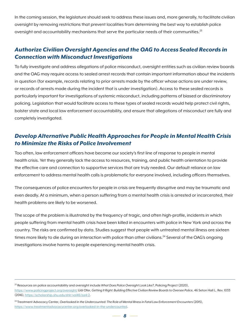In the coming session, the legislature should seek to address these issues and, more generally, to facilitate civilian oversight by removing restrictions that prevent localities from determining the best way to establish police oversight and accountability mechanisms that serve the particular needs of their communities.<sup>23</sup>

### *Authorize Civilian Oversight Agencies and the OAG to Access Sealed Records in Connection with Misconduct Investigations*

To fully investigate and address allegations of police misconduct, oversight entities such as civilian review boards and the OAG may require access to sealed arrest records that contain important information about the incidents in question (for example, records relating to prior arrests made by the officer whose actions are under review, or records of arrests made during the incident that is under investigation). Access to these sealed records is particularly important for investigations of systemic misconduct, including patterns of biased or discriminatory policing. Legislation that would facilitate access to these types of sealed records would help protect civil rights, bolster state and local law enforcement accountability, and ensure that allegations of misconduct are fully and completely investigated.

### *Develop Alternative Public Health Approaches for People in Mental Health Crisis to Minimize the Risks of Police Involvement*

Too often, law enforcement officers have become our society's first line of response to people in mental health crisis. Yet they generally lack the access to resources, training, and public health orientation to provide the effective care and connection to supportive services that are truly needed. Our default reliance on law enforcement to address mental health calls is problematic for everyone involved, including officers themselves.

The consequences of police encounters for people in crisis are frequently disruptive and may be traumatic and even deadly. At a minimum, when a person suffering from a mental health crisis is arrested or incarcerated, their health problems are likely to be worsened.

The scope of the problem is illustrated by the frequency of tragic, and often high-profile, incidents in which people suffering from mental health crisis have been killed in encounters with police in New York and across the country. The risks are confirmed by data. Studies suggest that people with untreated mental illness are sixteen times more likely to die during an interaction with police than other civilians.<sup>24</sup> Several of the OAG's ongoing investigations involve harms to people experiencing mental health crisis.

<sup>23</sup> Resources on police accountability and oversight include *What Does Police Oversight Look Like?*, Policing Project (2020),

https://www.policingproject.org/oversight; Udi Ofer, Getting It Right: Building Effective Civilian Review Boards to Oversee Police, 46 Seton Hall L. Rev. 1033 (2016), https://scholarship.shu.edu/shlr/vol46/iss4/2.

<sup>&</sup>lt;sup>24</sup> Treatment Advocacy Center, *Overlooked in the Undercounted: The Role of Mental Illness in Fatal Law Enforcement Encounters (2015)*, https://www.treatmentadvocacycenter.org/overlooked-in-the-undercounted.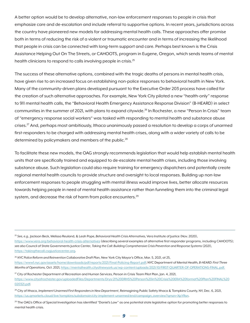A better option would be to develop alternative, non-law enforcement responses to people in crisis that emphasize care and de-escalation and include referral to supportive options. In recent years, jurisdictions across the country have pioneered new models for addressing mental health calls. These approaches offer promise both in terms of reducing the risk of a violent or traumatic encounter and in terms of increasing the likelihood that people in crisis can be connected with long-term support and care. Perhaps best known is the Crisis Assistance Helping Out On The Streets, or CAHOOTS, program in Eugene, Oregon, which sends teams of mental health clinicians to respond to calls involving people in crisis.<sup>25</sup>

The success of these alternative options, combined with the tragic deaths of persons in mental health crisis, have given rise to an increased focus on establishing non-police responses to behavioral health in New York. Many of the community-driven plans developed pursuant to the Executive Order 203 process have called for the creation of such alternative approaches. For example, New York City piloted a new "health-only" response to 911 mental health calls, the "Behavioral Health Emergency Assistance Response Division" (B-HEARD) in select communities in the summer of 2021, with plans to expand citywide.26 In Rochester, a new "Person In Crisis" team of "emergency response social workers" was tasked with responding to mental health and substance abuse crises.<sup>27</sup> And, perhaps most ambitiously, Ithaca unanimously passed a resolution to develop a corps of unarmed first-responders to be charged with addressing mental health crises, along with a wider variety of calls to be determined by policymakers and members of the public.<sup>28</sup>

To facilitate these new models, the OAG strongly recommends legislation that would help establish mental health units that are specifically trained and equipped to de-escalate mental health crises, including those involving substance abuse. Such legislation could also require training for emergency dispatchers and potentially create regional mental health councils to provide structure and oversight to local responses. Building up non-law enforcement responses to people struggling with mental illness would improve lives, better allocate resources towards helping people in need of mental health assistance rather than funneling them into the criminal legal system, and decrease the risk of harm from police encounters.<sup>29</sup>

28 City of Ithaca, *Implement Unarmed First Responders in New Department*, Reimagining Public Safety Ithaca & Tompkins County, NY, Dec. 6, 2021, https://us.qmarkets.cloud/live/tompkins/subdomain/city-implement-unarmed/end/campaign\_overview?qmzn=XpYRsn.

<sup>25</sup> *See, e.g.,* Jackson Beck, Melissa Reuland, & Leah Pope, *Behavioral Health Crisis Alternatives,* Vera Institute of Justice (Nov. 2020), https://www.vera.org/behavioral-health-crisis-alternatives (describing several examples of alternative first responder programs, including CAHOOTS); *see also* Council of State Governments Justice Center, *Taking the Call: Building Comprehensive Crisis Prevention and Response Systems* (2021), https://takingthecall.csgjusticecenter.org.

<sup>26</sup> *NYC Police Reform and Reinvention Collaborative Draft Plan*, New York City Mayor's Office, Mar. 5, 2021, at 25,

https://www1.nyc.gov/assets/home/downloads/pdf/reports/2021/Final-Policing-Report.pdf; NYC Department of Mental Health*, B-HEARD: First Three Months of Operations,* Oct. 2021, https://mentalhealth.cityofnewyork.us/wp-content/uploads/2021/10/FIRST-QUARTER-OF-OPERATIONS-FINAL.pdf.

 $^{27}$  City of Rochester Department of Recreation and Human Services, Person in Crisis Team Pilot Plan, Jan. 4, 2021, [https://www.cityofrochester.gov/uploadedFiles/Departments/Drys/21%20DRHS%20Person%20in%20Crisis%20ERA%20format%20Plan%20FINAL%20](https://www.cityofrochester.gov/uploadedFiles/Departments/Drys/21%20DRHS%20Person%20in%20Crisis%20ERA%20format%20Plan%20FINAL%20020321.pdf) [020321.pdf.](https://www.cityofrochester.gov/uploadedFiles/Departments/Drys/21%20DRHS%20Person%20in%20Crisis%20ERA%20format%20Plan%20FINAL%20020321.pdf) 

<sup>&</sup>lt;sup>29</sup> The OAG's Office of Special Investigation has identified "Daniel's Law" as one potential state legislative option for promoting better responses to mental health crisis.